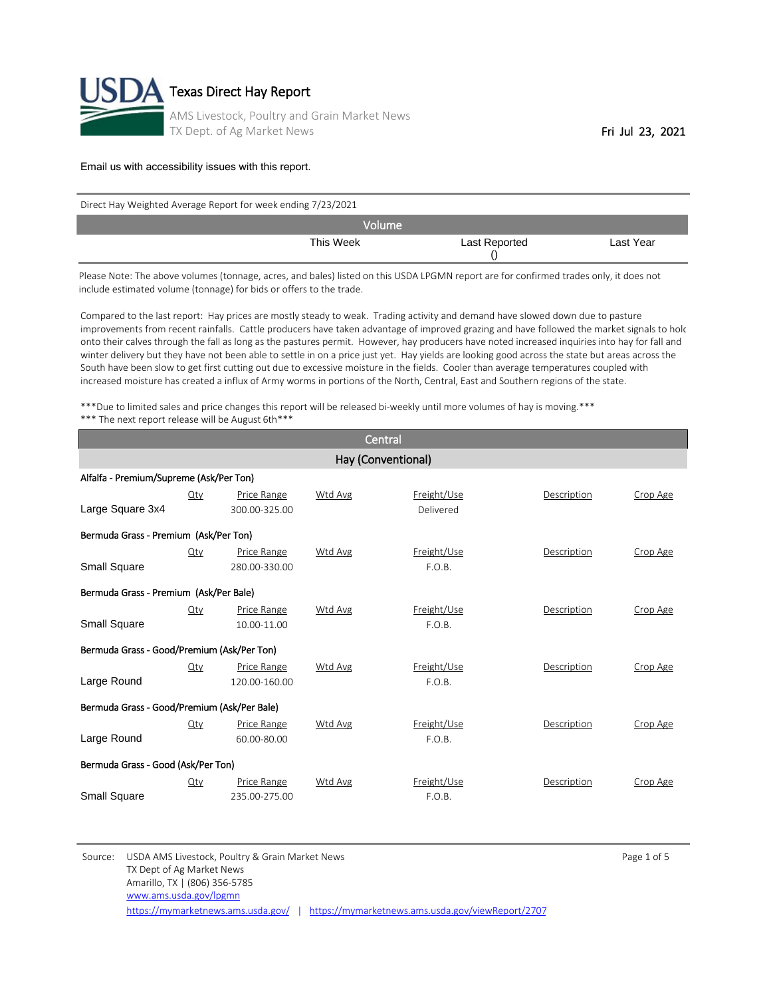

| Direct Hay Weighted Average Report for week ending 7/23/2021 |               |           |  |  |  |  |
|--------------------------------------------------------------|---------------|-----------|--|--|--|--|
| <b>Volume</b>                                                |               |           |  |  |  |  |
| This Week                                                    | Last Reported | Last Year |  |  |  |  |

Please Note: The above volumes (tonnage, acres, and bales) listed on this USDA LPGMN report are for confirmed trades only, it does not include estimated volume (tonnage) for bids or offers to the trade.

Compared to the last report: Hay prices are mostly steady to weak. Trading activity and demand have slowed down due to pasture improvements from recent rainfalls. Cattle producers have taken advantage of improved grazing and have followed the market signals to hold onto their calves through the fall as long as the pastures permit. However, hay producers have noted increased inquiries into hay for fall and winter delivery but they have not been able to settle in on a price just yet. Hay yields are looking good across the state but areas across the South have been slow to get first cutting out due to excessive moisture in the fields. Cooler than average temperatures coupled with increased moisture has created a influx of Army worms in portions of the North, Central, East and Southern regions of the state.

\*\*\*Due to limited sales and price changes this report will be released bi-weekly until more volumes of hay is moving.\*\*\* \*\*\* The next report release will be August 6th\*\*\*

| Central                                     |        |                              |                    |                          |             |          |  |  |
|---------------------------------------------|--------|------------------------------|--------------------|--------------------------|-------------|----------|--|--|
|                                             |        |                              | Hay (Conventional) |                          |             |          |  |  |
| Alfalfa - Premium/Supreme (Ask/Per Ton)     |        |                              |                    |                          |             |          |  |  |
| Large Square 3x4                            | Qty    | Price Range<br>300.00-325.00 | Wtd Avg            | Freight/Use<br>Delivered | Description | Crop Age |  |  |
| Bermuda Grass - Premium (Ask/Per Ton)       |        |                              |                    |                          |             |          |  |  |
| Small Square                                | Qty    | Price Range<br>280.00-330.00 | <b>Wtd Avg</b>     | Freight/Use<br>F.O.B.    | Description | Crop Age |  |  |
| Bermuda Grass - Premium (Ask/Per Bale)      |        |                              |                    |                          |             |          |  |  |
| Small Square                                | Qty    | Price Range<br>10.00-11.00   | Wtd Avg            | Freight/Use<br>F.O.B.    | Description | Crop Age |  |  |
| Bermuda Grass - Good/Premium (Ask/Per Ton)  |        |                              |                    |                          |             |          |  |  |
| Large Round                                 | Qty    | Price Range<br>120.00-160.00 | Wtd Avg            | Freight/Use<br>F.O.B.    | Description | Crop Age |  |  |
| Bermuda Grass - Good/Premium (Ask/Per Bale) |        |                              |                    |                          |             |          |  |  |
| Large Round                                 | Qty    | Price Range<br>60.00-80.00   | Wtd Avg            | Freight/Use<br>F.O.B.    | Description | Crop Age |  |  |
| Bermuda Grass - Good (Ask/Per Ton)          |        |                              |                    |                          |             |          |  |  |
| Small Square                                | $Q$ ty | Price Range<br>235.00-275.00 | <b>Wtd Avg</b>     | Freight/Use<br>F.O.B.    | Description | Crop Age |  |  |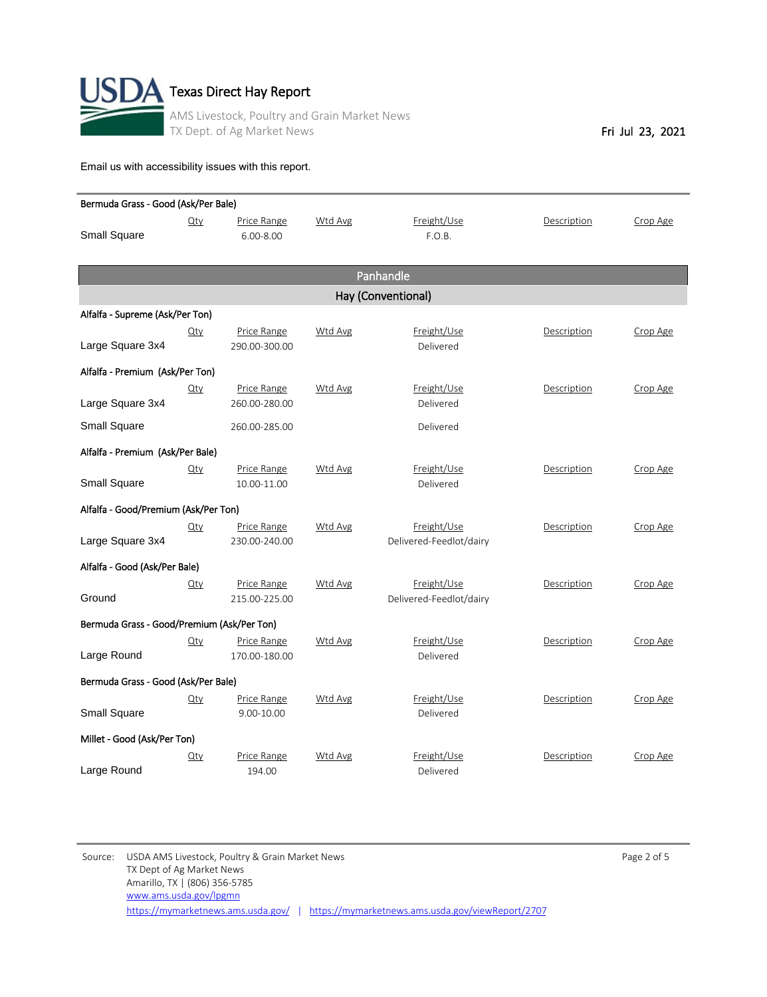

| Bermuda Grass - Good (Ask/Per Bale)        |                    |                              |                |                                        |             |          |  |  |
|--------------------------------------------|--------------------|------------------------------|----------------|----------------------------------------|-------------|----------|--|--|
| <b>Small Square</b>                        | $Q$ ty             | Price Range<br>$6.00 - 8.00$ | Wtd Avg        | Freight/Use<br>F.O.B.                  | Description | Crop Age |  |  |
|                                            |                    |                              |                | Panhandle                              |             |          |  |  |
|                                            | Hay (Conventional) |                              |                |                                        |             |          |  |  |
| Alfalfa - Supreme (Ask/Per Ton)            |                    |                              |                |                                        |             |          |  |  |
| Large Square 3x4                           | $Q$ ty             | Price Range<br>290.00-300.00 | Wtd Avg        | Freight/Use<br>Delivered               | Description | Crop Age |  |  |
| Alfalfa - Premium (Ask/Per Ton)            |                    |                              |                |                                        |             |          |  |  |
| Large Square 3x4                           | $Q$ ty             | Price Range<br>260.00-280.00 | Wtd Avg        | Freight/Use<br>Delivered               | Description | Crop Age |  |  |
| <b>Small Square</b>                        |                    | 260.00-285.00                |                | Delivered                              |             |          |  |  |
| Alfalfa - Premium (Ask/Per Bale)           |                    |                              |                |                                        |             |          |  |  |
| Small Square                               | $Q$ ty             | Price Range<br>10.00-11.00   | Wtd Avg        | Freight/Use<br>Delivered               | Description | Crop Age |  |  |
| Alfalfa - Good/Premium (Ask/Per Ton)       |                    |                              |                |                                        |             |          |  |  |
| Large Square 3x4                           | $Q$ ty             | Price Range<br>230.00-240.00 | Wtd Avg        | Freight/Use<br>Delivered-Feedlot/dairy | Description | Crop Age |  |  |
| Alfalfa - Good (Ask/Per Bale)              |                    |                              |                |                                        |             |          |  |  |
| Ground                                     | $Q$ ty             | Price Range<br>215.00-225.00 | <b>Wtd Avg</b> | Freight/Use<br>Delivered-Feedlot/dairy | Description | Crop Age |  |  |
| Bermuda Grass - Good/Premium (Ask/Per Ton) |                    |                              |                |                                        |             |          |  |  |
| Large Round                                | $Q$ ty             | Price Range<br>170.00-180.00 | <b>Wtd Avg</b> | Freight/Use<br>Delivered               | Description | Crop Age |  |  |
| Bermuda Grass - Good (Ask/Per Bale)        |                    |                              |                |                                        |             |          |  |  |
| Small Square                               | $Q$ ty             | Price Range<br>9.00-10.00    | Wtd Avg        | Freight/Use<br>Delivered               | Description | Crop Age |  |  |
| Millet - Good (Ask/Per Ton)                |                    |                              |                |                                        |             |          |  |  |
| Large Round                                | <u>Qty</u>         | Price Range<br>194.00        | Wtd Avg        | Freight/Use<br>Delivered               | Description | Crop Age |  |  |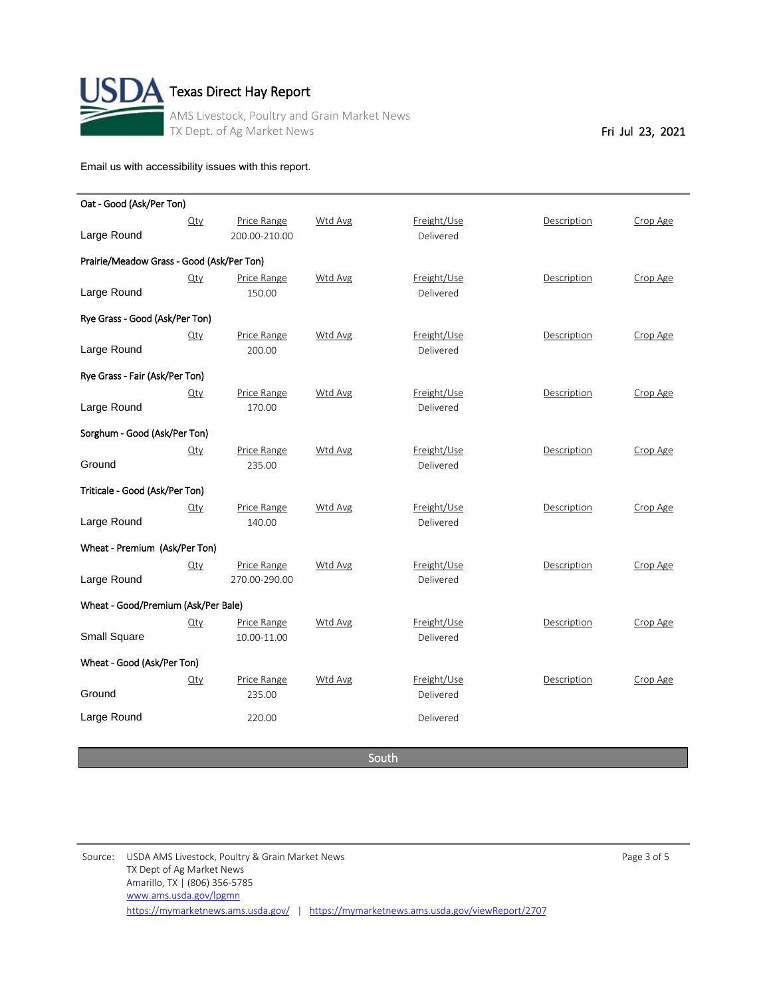

| Oat - Good (Ask/Per Ton)                  |            |               |                |                          |             |          |
|-------------------------------------------|------------|---------------|----------------|--------------------------|-------------|----------|
|                                           | Qty        | Price Range   | <b>Wtd Avg</b> | Freight/Use<br>Delivered | Description | Crop Age |
| Large Round                               |            | 200.00-210.00 |                |                          |             |          |
| Prairie/Meadow Grass - Good (Ask/Per Ton) |            |               |                |                          |             |          |
|                                           | $Q$ ty     | Price Range   | <b>Wtd Avg</b> | Freight/Use              | Description | Crop Age |
| Large Round                               |            | 150.00        |                | Delivered                |             |          |
| Rye Grass - Good (Ask/Per Ton)            |            |               |                |                          |             |          |
|                                           | $Q$ ty     | Price Range   | Wtd Avg        | Freight/Use              | Description | Crop Age |
| Large Round                               |            | 200.00        |                | Delivered                |             |          |
| Rye Grass - Fair (Ask/Per Ton)            |            |               |                |                          |             |          |
|                                           | <u>Qty</u> | Price Range   | <b>Wtd Avg</b> | Freight/Use              | Description | Crop Age |
| Large Round                               |            | 170.00        |                | Delivered                |             |          |
| Sorghum - Good (Ask/Per Ton)              |            |               |                |                          |             |          |
|                                           | $Q$ ty     | Price Range   | <b>Wtd Avg</b> | Freight/Use              | Description | Crop Age |
| Ground                                    |            | 235.00        |                | Delivered                |             |          |
| Triticale - Good (Ask/Per Ton)            |            |               |                |                          |             |          |
|                                           | $Q$ ty     | Price Range   | <b>Wtd Avg</b> | Freight/Use              | Description | Crop Age |
| Large Round                               |            | 140.00        |                | Delivered                |             |          |
| Wheat - Premium (Ask/Per Ton)             |            |               |                |                          |             |          |
|                                           | $Q$ ty     | Price Range   | <b>Wtd Avg</b> | Freight/Use              | Description | Crop Age |
| Large Round                               |            | 270.00-290.00 |                | Delivered                |             |          |
| Wheat - Good/Premium (Ask/Per Bale)       |            |               |                |                          |             |          |
|                                           | $Q$ ty     | Price Range   | Wtd Avg        | Freight/Use              | Description | Crop Age |
| <b>Small Square</b>                       |            | 10.00-11.00   |                | Delivered                |             |          |
| Wheat - Good (Ask/Per Ton)                |            |               |                |                          |             |          |
|                                           | $Q$ ty     | Price Range   | Wtd Avg        | Freight/Use              | Description | Crop Age |
| Ground                                    |            | 235.00        |                | Delivered                |             |          |
| Large Round                               |            | 220.00        |                | Delivered                |             |          |
|                                           |            |               |                |                          |             |          |

South

Source: USDA AMS Livestock, Poultry & Grain Market News **Page 3 of 5** and 2001 and 2011 and 2011 and 2011 and 201 TX Dept of Ag Market News Amarillo, TX | (806) 356-5785 <https://mymarketnews.ams.usda.gov/> | <https://mymarketnews.ams.usda.gov/viewReport/2707> [www.ams.usda.gov/lpgmn](http://www.ams.usda.gov/lpgmn)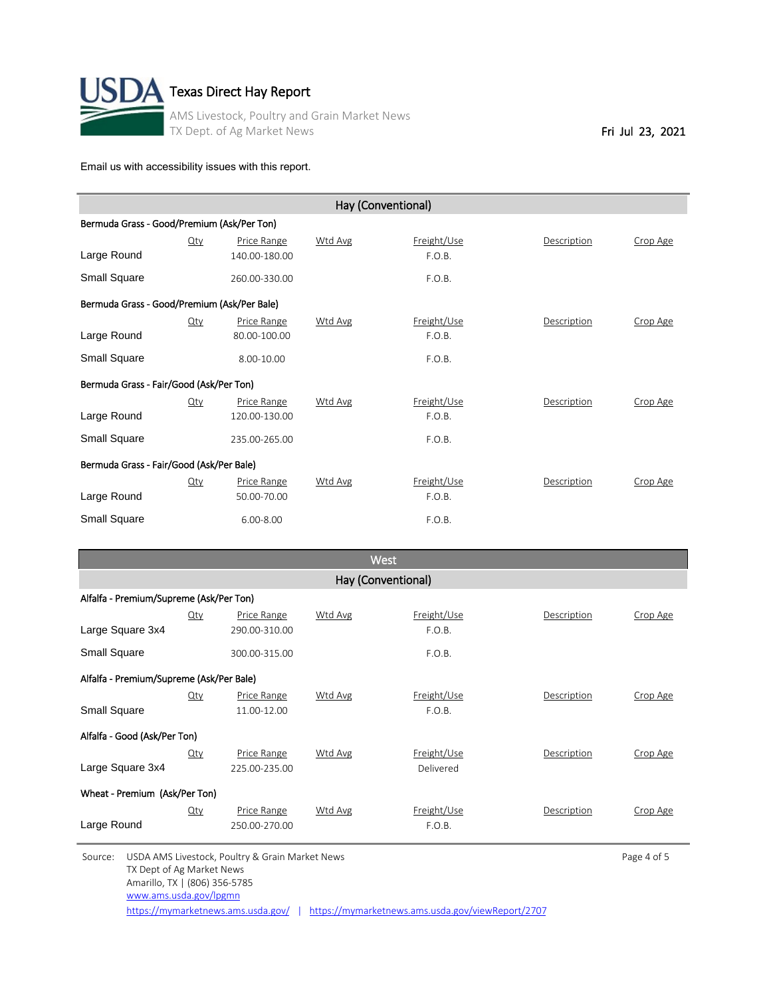

| Hay (Conventional)                          |        |               |         |             |             |          |  |  |
|---------------------------------------------|--------|---------------|---------|-------------|-------------|----------|--|--|
| Bermuda Grass - Good/Premium (Ask/Per Ton)  |        |               |         |             |             |          |  |  |
|                                             | Qty    | Price Range   | Wtd Avg | Freight/Use | Description | Crop Age |  |  |
| Large Round                                 |        | 140.00-180.00 |         | F.O.B.      |             |          |  |  |
| Small Square                                |        | 260.00-330.00 |         | F.O.B.      |             |          |  |  |
| Bermuda Grass - Good/Premium (Ask/Per Bale) |        |               |         |             |             |          |  |  |
|                                             | $Q$ ty | Price Range   | Wtd Avg | Freight/Use | Description | Crop Age |  |  |
| Large Round                                 |        | 80.00-100.00  |         | F.O.B.      |             |          |  |  |
| Small Square                                |        | 8.00-10.00    |         | F.O.B.      |             |          |  |  |
| Bermuda Grass - Fair/Good (Ask/Per Ton)     |        |               |         |             |             |          |  |  |
|                                             | $Q$ ty | Price Range   | Wtd Avg | Freight/Use | Description | Crop Age |  |  |
| Large Round                                 |        | 120.00-130.00 |         | F.O.B.      |             |          |  |  |
| Small Square                                |        | 235.00-265.00 |         | F.O.B.      |             |          |  |  |
| Bermuda Grass - Fair/Good (Ask/Per Bale)    |        |               |         |             |             |          |  |  |
|                                             | $Q$ ty | Price Range   | Wtd Avg | Freight/Use | Description | Crop Age |  |  |
| Large Round                                 |        | 50.00-70.00   |         | F.O.B.      |             |          |  |  |
| Small Square                                |        | 6.00-8.00     |         | F.O.B.      |             |          |  |  |

| <b>West</b>                              |            |                    |                |             |             |          |  |  |  |
|------------------------------------------|------------|--------------------|----------------|-------------|-------------|----------|--|--|--|
| Hay (Conventional)                       |            |                    |                |             |             |          |  |  |  |
| Alfalfa - Premium/Supreme (Ask/Per Ton)  |            |                    |                |             |             |          |  |  |  |
|                                          | <u>Qty</u> | Price Range        | <b>Wtd Avg</b> | Freight/Use | Description | Crop Age |  |  |  |
| Large Square 3x4                         |            | 290.00-310.00      |                | F.O.B.      |             |          |  |  |  |
| <b>Small Square</b>                      |            | 300.00-315.00      |                | F.O.B.      |             |          |  |  |  |
| Alfalfa - Premium/Supreme (Ask/Per Bale) |            |                    |                |             |             |          |  |  |  |
|                                          | Qty        | <b>Price Range</b> | Wtd Avg        | Freight/Use | Description | Crop Age |  |  |  |
| Small Square                             |            | 11.00-12.00        |                | F.O.B.      |             |          |  |  |  |
| Alfalfa - Good (Ask/Per Ton)             |            |                    |                |             |             |          |  |  |  |
|                                          | <u>Qty</u> | Price Range        | <b>Wtd Avg</b> | Freight/Use | Description | Crop Age |  |  |  |
| Large Square 3x4                         |            | 225.00-235.00      |                | Delivered   |             |          |  |  |  |
| Wheat - Premium (Ask/Per Ton)            |            |                    |                |             |             |          |  |  |  |
|                                          | $Q$ ty     | Price Range        | Wtd Avg        | Freight/Use | Description | Crop Age |  |  |  |
| Large Round                              |            | 250.00-270.00      |                | F.O.B.      |             |          |  |  |  |

Source: USDA AMS Livestock, Poultry & Grain Market News **Page 4 of 5** Page 4 of 5 TX Dept of Ag Market News Amarillo, TX | (806) 356-5785 [www.ams.usda.gov/lpgmn](http://www.ams.usda.gov/lpgmn)

<https://mymarketnews.ams.usda.gov/> | <https://mymarketnews.ams.usda.gov/viewReport/2707>